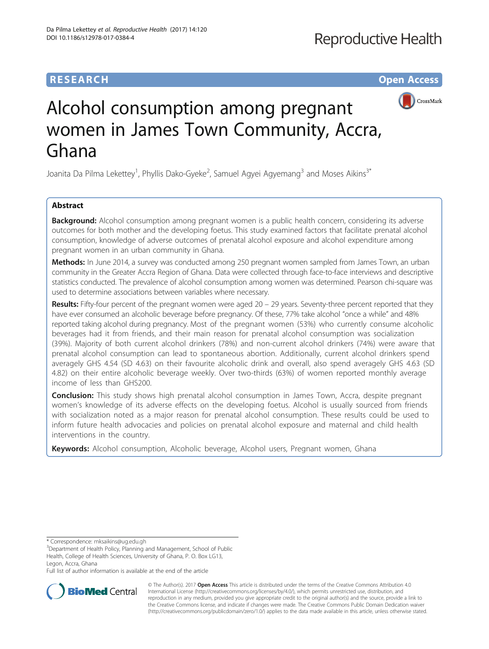## **RESEARCH CHE Open Access**



# Alcohol consumption among pregnant women in James Town Community, Accra, Ghana

Joanita Da Pilma Lekettey<sup>1</sup>, Phyllis Dako-Gyeke<sup>2</sup>, Samuel Agyei Agyemang<sup>3</sup> and Moses Aikins<sup>3\*</sup>

## Abstract

**Background:** Alcohol consumption among pregnant women is a public health concern, considering its adverse outcomes for both mother and the developing foetus. This study examined factors that facilitate prenatal alcohol consumption, knowledge of adverse outcomes of prenatal alcohol exposure and alcohol expenditure among pregnant women in an urban community in Ghana.

Methods: In June 2014, a survey was conducted among 250 pregnant women sampled from James Town, an urban community in the Greater Accra Region of Ghana. Data were collected through face-to-face interviews and descriptive statistics conducted. The prevalence of alcohol consumption among women was determined. Pearson chi-square was used to determine associations between variables where necessary.

Results: Fifty-four percent of the pregnant women were aged  $20 - 29$  years. Seventy-three percent reported that they have ever consumed an alcoholic beverage before pregnancy. Of these, 77% take alcohol "once a while" and 48% reported taking alcohol during pregnancy. Most of the pregnant women (53%) who currently consume alcoholic beverages had it from friends, and their main reason for prenatal alcohol consumption was socialization (39%). Majority of both current alcohol drinkers (78%) and non-current alcohol drinkers (74%) were aware that prenatal alcohol consumption can lead to spontaneous abortion. Additionally, current alcohol drinkers spend averagely GHS 4.54 (SD 4.63) on their favourite alcoholic drink and overall, also spend averagely GHS 4.63 (SD 4.82) on their entire alcoholic beverage weekly. Over two-thirds (63%) of women reported monthly average income of less than GHS200.

**Conclusion:** This study shows high prenatal alcohol consumption in James Town, Accra, despite pregnant women's knowledge of its adverse effects on the developing foetus. Alcohol is usually sourced from friends with socialization noted as a major reason for prenatal alcohol consumption. These results could be used to inform future health advocacies and policies on prenatal alcohol exposure and maternal and child health interventions in the country.

Keywords: Alcohol consumption, Alcoholic beverage, Alcohol users, Pregnant women, Ghana

\* Correspondence: [mksaikins@ug.edu.gh](mailto:mksaikins@ug.edu.gh) <sup>3</sup>

Full list of author information is available at the end of the article



© The Author(s). 2017 **Open Access** This article is distributed under the terms of the Creative Commons Attribution 4.0 International License [\(http://creativecommons.org/licenses/by/4.0/](http://creativecommons.org/licenses/by/4.0/)), which permits unrestricted use, distribution, and reproduction in any medium, provided you give appropriate credit to the original author(s) and the source, provide a link to the Creative Commons license, and indicate if changes were made. The Creative Commons Public Domain Dedication waiver [\(http://creativecommons.org/publicdomain/zero/1.0/](http://creativecommons.org/publicdomain/zero/1.0/)) applies to the data made available in this article, unless otherwise stated.

<sup>&</sup>lt;sup>3</sup>Department of Health Policy, Planning and Management, School of Public Health, College of Health Sciences, University of Ghana, P. O. Box LG13, Legon, Accra, Ghana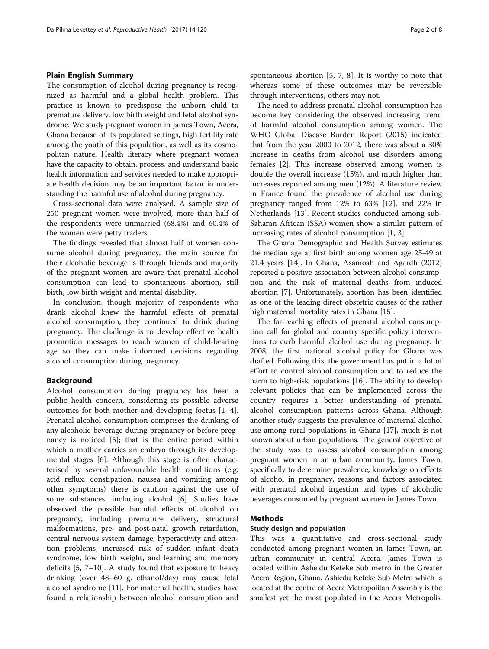## Plain English Summary

The consumption of alcohol during pregnancy is recognized as harmful and a global health problem. This practice is known to predispose the unborn child to premature delivery, low birth weight and fetal alcohol syndrome. We study pregnant women in James Town, Accra, Ghana because of its populated settings, high fertility rate among the youth of this population, as well as its cosmopolitan nature. Health literacy where pregnant women have the capacity to obtain, process, and understand basic health information and services needed to make appropriate health decision may be an important factor in understanding the harmful use of alcohol during pregnancy.

Cross-sectional data were analysed. A sample size of 250 pregnant women were involved, more than half of the respondents were unmarried (68.4%) and 60.4% of the women were petty traders.

The findings revealed that almost half of women consume alcohol during pregnancy, the main source for their alcoholic beverage is through friends and majority of the pregnant women are aware that prenatal alcohol consumption can lead to spontaneous abortion, still birth, low birth weight and mental disability.

In conclusion, though majority of respondents who drank alcohol knew the harmful effects of prenatal alcohol consumption, they continued to drink during pregnancy. The challenge is to develop effective health promotion messages to reach women of child-bearing age so they can make informed decisions regarding alcohol consumption during pregnancy.

## Background

Alcohol consumption during pregnancy has been a public health concern, considering its possible adverse outcomes for both mother and developing foetus [\[1](#page-6-0)–[4](#page-6-0)]. Prenatal alcohol consumption comprises the drinking of any alcoholic beverage during pregnancy or before pregnancy is noticed [[5\]](#page-6-0); that is the entire period within which a mother carries an embryo through its developmental stages [\[6](#page-6-0)]. Although this stage is often characterised by several unfavourable health conditions (e.g. acid reflux, constipation, nausea and vomiting among other symptoms) there is caution against the use of some substances, including alcohol [[6\]](#page-6-0). Studies have observed the possible harmful effects of alcohol on pregnancy, including premature delivery, structural malformations, pre- and post-natal growth retardation, central nervous system damage, hyperactivity and attention problems, increased risk of sudden infant death syndrome, low birth weight, and learning and memory deficits [\[5](#page-6-0), [7](#page-6-0)–[10\]](#page-7-0). A study found that exposure to heavy drinking (over 48–60 g. ethanol/day) may cause fetal alcohol syndrome [[11\]](#page-7-0). For maternal health, studies have found a relationship between alcohol consumption and

spontaneous abortion [[5, 7, 8](#page-6-0)]. It is worthy to note that whereas some of these outcomes may be reversible through interventions, others may not.

The need to address prenatal alcohol consumption has become key considering the observed increasing trend of harmful alcohol consumption among women. The WHO Global Disease Burden Report (2015) indicated that from the year 2000 to 2012, there was about a 30% increase in deaths from alcohol use disorders among females [[2\]](#page-6-0). This increase observed among women is double the overall increase (15%), and much higher than increases reported among men (12%). A literature review in France found the prevalence of alcohol use during pregnancy ranged from 12% to 63% [[12\]](#page-7-0), and 22% in Netherlands [\[13](#page-7-0)]. Recent studies conducted among sub-Saharan African (SSA) women show a similar pattern of increasing rates of alcohol consumption [[1](#page-6-0), [3](#page-6-0)].

The Ghana Demographic and Health Survey estimates the median age at first birth among women age 25-49 at 21.4 years [\[14\]](#page-7-0). In Ghana, Asamoah and Agardh (2012) reported a positive association between alcohol consumption and the risk of maternal deaths from induced abortion [[7\]](#page-6-0). Unfortunately, abortion has been identified as one of the leading direct obstetric causes of the rather high maternal mortality rates in Ghana [\[15\]](#page-7-0).

The far-reaching effects of prenatal alcohol consumption call for global and country specific policy interventions to curb harmful alcohol use during pregnancy. In 2008, the first national alcohol policy for Ghana was drafted. Following this, the government has put in a lot of effort to control alcohol consumption and to reduce the harm to high-risk populations [\[16\]](#page-7-0). The ability to develop relevant policies that can be implemented across the country requires a better understanding of prenatal alcohol consumption patterns across Ghana. Although another study suggests the prevalence of maternal alcohol use among rural populations in Ghana [\[17\]](#page-7-0), much is not known about urban populations. The general objective of the study was to assess alcohol consumption among pregnant women in an urban community, James Town, specifically to determine prevalence, knowledge on effects of alcohol in pregnancy, reasons and factors associated with prenatal alcohol ingestion and types of alcoholic beverages consumed by pregnant women in James Town.

## Methods

## Study design and population

This was a quantitative and cross-sectional study conducted among pregnant women in James Town, an urban community in central Accra. James Town is located within Asheidu Keteke Sub metro in the Greater Accra Region, Ghana. Ashiedu Keteke Sub Metro which is located at the centre of Accra Metropolitan Assembly is the smallest yet the most populated in the Accra Metropolis.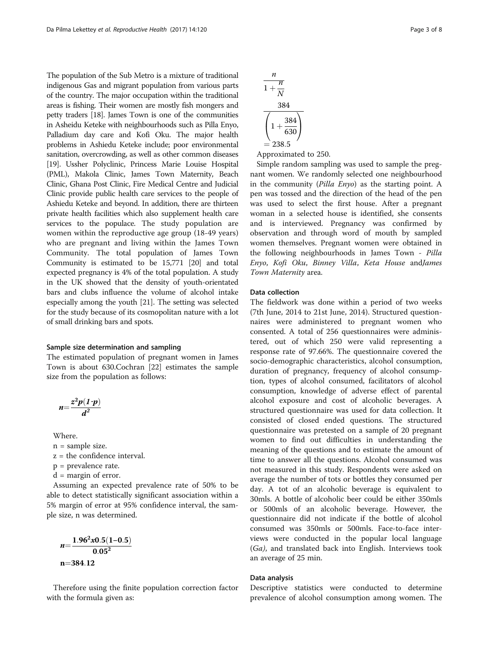The population of the Sub Metro is a mixture of traditional indigenous Gas and migrant population from various parts of the country. The major occupation within the traditional areas is fishing. Their women are mostly fish mongers and petty traders [\[18\]](#page-7-0). James Town is one of the communities in Asheidu Keteke with neighbourhoods such as Pilla Enyo, Palladium day care and Kofi Oku. The major health problems in Ashiedu Keteke include; poor environmental sanitation, overcrowding, as well as other common diseases [[19](#page-7-0)]. Ussher Polyclinic, Princess Marie Louise Hospital (PML), Makola Clinic, James Town Maternity, Beach Clinic, Ghana Post Clinic, Fire Medical Centre and Judicial Clinic provide public health care services to the people of Ashiedu Keteke and beyond. In addition, there are thirteen private health facilities which also supplement health care services to the populace. The study population are women within the reproductive age group (18-49 years) who are pregnant and living within the James Town Community. The total population of James Town Community is estimated to be 15,771 [[20](#page-7-0)] and total expected pregnancy is 4% of the total population. A study in the UK showed that the density of youth-orientated bars and clubs influence the volume of alcohol intake especially among the youth [[21](#page-7-0)]. The setting was selected for the study because of its cosmopolitan nature with a lot of small drinking bars and spots.

## Sample size determination and sampling

The estimated population of pregnant women in James Town is about 630.Cochran [\[22\]](#page-7-0) estimates the sample size from the population as follows:

$$
n=\frac{z^2p(1-p)}{d^2}
$$

Where.

- n = sample size.
- z = the confidence interval.
- p = prevalence rate.
- $d =$  margin of error.

Assuming an expected prevalence rate of 50% to be able to detect statistically significant association within a 5% margin of error at 95% confidence interval, the sample size, n was determined.

$$
n = \frac{1.96^2 \times 0.5(1-0.5)}{0.05^2}
$$
  
n = 384.12

Therefore using the finite population correction factor with the formula given as:

$$
\frac{n}{1 + \frac{n}{N}}
$$
  

$$
\frac{384}{\left(1 + \frac{384}{630}\right)}
$$
  
= 238.5

Approximated to 250.

Simple random sampling was used to sample the pregnant women. We randomly selected one neighbourhood in the community (Pilla Enyo) as the starting point. A pen was tossed and the direction of the head of the pen was used to select the first house. After a pregnant woman in a selected house is identified, she consents and is interviewed. Pregnancy was confirmed by observation and through word of mouth by sampled women themselves. Pregnant women were obtained in the following neighbourhoods in James Town - Pilla Enyo, Kofi Oku, Binney Villa, Keta House andJames Town Maternity area.

## Data collection

The fieldwork was done within a period of two weeks (7th June, 2014 to 21st June, 2014). Structured questionnaires were administered to pregnant women who consented. A total of 256 questionnaires were administered, out of which 250 were valid representing a response rate of 97.66%. The questionnaire covered the socio-demographic characteristics, alcohol consumption, duration of pregnancy, frequency of alcohol consumption, types of alcohol consumed, facilitators of alcohol consumption, knowledge of adverse effect of parental alcohol exposure and cost of alcoholic beverages. A structured questionnaire was used for data collection. It consisted of closed ended questions. The structured questionnaire was pretested on a sample of 20 pregnant women to find out difficulties in understanding the meaning of the questions and to estimate the amount of time to answer all the questions. Alcohol consumed was not measured in this study. Respondents were asked on average the number of tots or bottles they consumed per day. A tot of an alcoholic beverage is equivalent to 30mls. A bottle of alcoholic beer could be either 350mls or 500mls of an alcoholic beverage. However, the questionnaire did not indicate if the bottle of alcohol consumed was 350mls or 500mls. Face-to-face interviews were conducted in the popular local language (Ga), and translated back into English. Interviews took an average of 25 min.

## Data analysis

Descriptive statistics were conducted to determine prevalence of alcohol consumption among women. The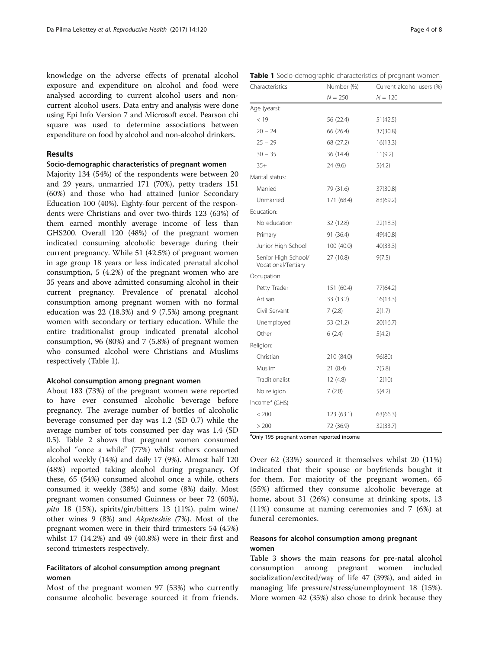knowledge on the adverse effects of prenatal alcohol exposure and expenditure on alcohol and food were analysed according to current alcohol users and noncurrent alcohol users. Data entry and analysis were done using Epi Info Version 7 and Microsoft excel. Pearson chi square was used to determine associations between expenditure on food by alcohol and non-alcohol drinkers.

## Results

## Socio-demographic characteristics of pregnant women

Majority 134 (54%) of the respondents were between 20 and 29 years, unmarried 171 (70%), petty traders 151 (60%) and those who had attained Junior Secondary Education 100 (40%). Eighty-four percent of the respondents were Christians and over two-thirds 123 (63%) of them earned monthly average income of less than GHS200. Overall 120 (48%) of the pregnant women indicated consuming alcoholic beverage during their current pregnancy. While 51 (42.5%) of pregnant women in age group 18 years or less indicated prenatal alcohol consumption, 5 (4.2%) of the pregnant women who are 35 years and above admitted consuming alcohol in their current pregnancy. Prevalence of prenatal alcohol consumption among pregnant women with no formal education was 22 (18.3%) and 9 (7.5%) among pregnant women with secondary or tertiary education. While the entire traditionalist group indicated prenatal alcohol consumption, 96 (80%) and 7 (5.8%) of pregnant women who consumed alcohol were Christians and Muslims respectively (Table 1).

## Alcohol consumption among pregnant women

About 183 (73%) of the pregnant women were reported to have ever consumed alcoholic beverage before pregnancy. The average number of bottles of alcoholic beverage consumed per day was 1.2 (SD 0.7) while the average number of tots consumed per day was 1.4 (SD 0.5). Table [2](#page-4-0) shows that pregnant women consumed alcohol "once a while" (77%) whilst others consumed alcohol weekly (14%) and daily 17 (9%). Almost half 120 (48%) reported taking alcohol during pregnancy. Of these, 65 (54%) consumed alcohol once a while, others consumed it weekly (38%) and some (8%) daily. Most pregnant women consumed Guinness or beer 72 (60%), pito 18 (15%), spirits/gin/bitters 13 (11%), palm wine/ other wines 9 (8%) and Akpeteshie (7%). Most of the pregnant women were in their third trimesters 54 (45%) whilst 17 (14.2%) and 49 (40.8%) were in their first and second trimesters respectively.

## Facilitators of alcohol consumption among pregnant women

Most of the pregnant women 97 (53%) who currently consume alcoholic beverage sourced it from friends.

|                                            | $N = 250$  | $N = 120$ |  |
|--------------------------------------------|------------|-----------|--|
| Age (years):                               |            |           |  |
| < 19                                       | 56 (22.4)  | 51(42.5)  |  |
| $20 - 24$                                  | 66 (26.4)  | 37(30.8)  |  |
| $25 - 29$                                  | 68 (27.2)  | 16(13.3)  |  |
| $30 - 35$                                  | 36 (14.4)  | 11(9.2)   |  |
| $35+$                                      | 24 (9.6)   | 5(4.2)    |  |
| Marital status:                            |            |           |  |
| Married                                    | 79 (31.6)  | 37(30.8)  |  |
| Unmarried                                  | 171 (68.4) | 83(69.2)  |  |
| Education:                                 |            |           |  |
| No education                               | 32 (12.8)  | 22(18.3)  |  |
| Primary                                    | 91 (36.4)  | 49(40.8)  |  |
| Junior High School                         | 100(40.0)  | 40(33.3)  |  |
| Senior High School/<br>Vocational/Tertiary | 27 (10.8)  | 9(7.5)    |  |
| Occupation:                                |            |           |  |
| Petty Trader                               | 151 (60.4) | 77(64.2)  |  |
| Artisan                                    | 33 (13.2)  | 16(13.3)  |  |
| Civil Servant                              | 7(2.8)     | 2(1.7)    |  |
| Unemployed                                 | 53 (21.2)  | 20(16.7)  |  |
| Other                                      | 6(2.4)     | 5(4.2)    |  |
| Religion:                                  |            |           |  |
| Christian                                  | 210 (84.0) | 96(80)    |  |
| Muslim                                     | 21(8.4)    | 7(5.8)    |  |
| Traditionalist                             | 12 (4.8)   | 12(10)    |  |
| No religion                                | 7(2.8)     | 5(4.2)    |  |
| Income <sup>a</sup> (GHS)                  |            |           |  |
| < 200                                      | 123(63.1)  | 63(66.3)  |  |
| > 200                                      | 72 (36.9)  | 32(33.7)  |  |

<sup>a</sup>Only 195 pregnant women reported income

Over 62 (33%) sourced it themselves whilst 20 (11%) indicated that their spouse or boyfriends bought it for them. For majority of the pregnant women, 65 (55%) affirmed they consume alcoholic beverage at home, about 31 (26%) consume at drinking spots, 13 (11%) consume at naming ceremonies and 7 (6%) at funeral ceremonies.

## Reasons for alcohol consumption among pregnant women

Table [3](#page-4-0) shows the main reasons for pre-natal alcohol consumption among pregnant women included socialization/excited/way of life 47 (39%), and aided in managing life pressure/stress/unemployment 18 (15%). More women 42 (35%) also chose to drink because they

Table 1 Socio-demographic characteristics of pregnant women Characteristics Number (%) Current alcohol users (%)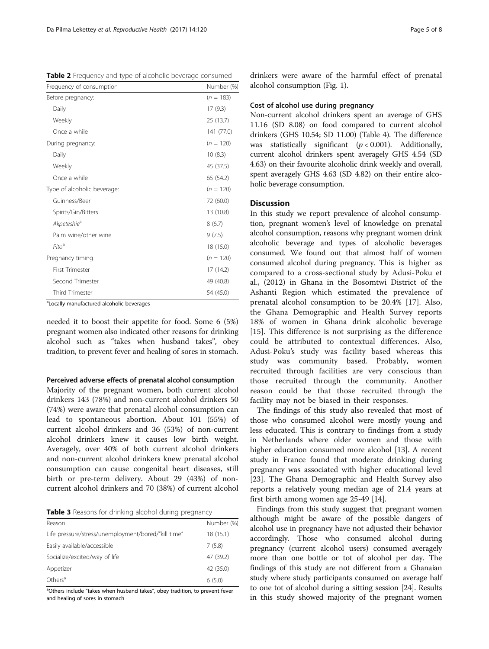<span id="page-4-0"></span>Table 2 Frequency and type of alcoholic beverage consumed

| Frequency of consumption    | Number (%)  |
|-----------------------------|-------------|
| Before pregnancy:           | $(n = 183)$ |
| Daily                       | 17(9.3)     |
| Weekly                      | 25 (13.7)   |
| Once a while                | 141 (77.0)  |
| During pregnancy:           | $(n = 120)$ |
| Daily                       | 10(8.3)     |
| Weekly                      | 45 (37.5)   |
| Once a while                | 65 (54.2)   |
| Type of alcoholic beverage: | $(n = 120)$ |
| Guinness/Beer               | 72 (60.0)   |
| Spirits/Gin/Bitters         | 13 (10.8)   |
| Akpeteshie <sup>a</sup>     | 8(6.7)      |
| Palm wine/other wine        | 9(7.5)      |
| $Pito^a$                    | 18 (15.0)   |
| Pregnancy timing            | $(n = 120)$ |
| <b>First Trimester</b>      | 17 (14.2)   |
| Second Trimester            | 49 (40.8)   |
| <b>Third Trimester</b>      | 54 (45.0)   |

<sup>a</sup>Locally manufactured alcoholic beverages

needed it to boost their appetite for food. Some 6 (5%) pregnant women also indicated other reasons for drinking alcohol such as "takes when husband takes", obey tradition, to prevent fever and healing of sores in stomach.

Perceived adverse effects of prenatal alcohol consumption

Majority of the pregnant women, both current alcohol drinkers 143 (78%) and non-current alcohol drinkers 50 (74%) were aware that prenatal alcohol consumption can lead to spontaneous abortion. About 101 (55%) of current alcohol drinkers and 36 (53%) of non-current alcohol drinkers knew it causes low birth weight. Averagely, over 40% of both current alcohol drinkers and non-current alcohol drinkers knew prenatal alcohol consumption can cause congenital heart diseases, still birth or pre-term delivery. About 29 (43%) of noncurrent alcohol drinkers and 70 (38%) of current alcohol

|  |  | Table 3 Reasons for drinking alcohol during pregnancy |
|--|--|-------------------------------------------------------|
|--|--|-------------------------------------------------------|

| Reason                                              | Number (%) |
|-----------------------------------------------------|------------|
| Life pressure/stress/unemployment/bored/"kill time" | 18 (15.1)  |
| Easily available/accessible                         | 7(5.8)     |
| Socialize/excited/way of life                       | 47 (39.2)  |
| Appetizer                                           | 42 (35.0)  |
| Others <sup>a</sup>                                 | 6(5.0)     |

<sup>a</sup>Others include "takes when husband takes", obey tradition, to prevent fever and healing of sores in stomach

drinkers were aware of the harmful effect of prenatal alcohol consumption (Fig. [1](#page-5-0)).

## Cost of alcohol use during pregnancy

Non-current alcohol drinkers spent an average of GHS 11.16 (SD 8.08) on food compared to current alcohol drinkers (GHS 10.54; SD 11.00) (Table [4](#page-5-0)). The difference was statistically significant  $(p < 0.001)$ . Additionally, current alcohol drinkers spent averagely GHS 4.54 (SD 4.63) on their favourite alcoholic drink weekly and overall, spent averagely GHS 4.63 (SD 4.82) on their entire alcoholic beverage consumption.

## **Discussion**

In this study we report prevalence of alcohol consumption, pregnant women's level of knowledge on prenatal alcohol consumption, reasons why pregnant women drink alcoholic beverage and types of alcoholic beverages consumed. We found out that almost half of women consumed alcohol during pregnancy. This is higher as compared to a cross-sectional study by Adusi-Poku et al., (2012) in Ghana in the Bosomtwi District of the Ashanti Region which estimated the prevalence of prenatal alcohol consumption to be 20.4% [\[17](#page-7-0)]. Also, the Ghana Demographic and Health Survey reports 18% of women in Ghana drink alcoholic beverage [[15](#page-7-0)]. This difference is not surprising as the difference could be attributed to contextual differences. Also, Adusi-Poku's study was facility based whereas this study was community based. Probably, women recruited through facilities are very conscious than those recruited through the community. Another reason could be that those recruited through the facility may not be biased in their responses.

The findings of this study also revealed that most of those who consumed alcohol were mostly young and less educated. This is contrary to findings from a study in Netherlands where older women and those with higher education consumed more alcohol [[13\]](#page-7-0). A recent study in France found that moderate drinking during pregnancy was associated with higher educational level [[23\]](#page-7-0). The Ghana Demographic and Health Survey also reports a relatively young median age of 21.4 years at first birth among women age 25-49 [[14\]](#page-7-0).

Findings from this study suggest that pregnant women although might be aware of the possible dangers of alcohol use in pregnancy have not adjusted their behavior accordingly. Those who consumed alcohol during pregnancy (current alcohol users) consumed averagely more than one bottle or tot of alcohol per day. The findings of this study are not different from a Ghanaian study where study participants consumed on average half to one tot of alcohol during a sitting session [[24\]](#page-7-0). Results in this study showed majority of the pregnant women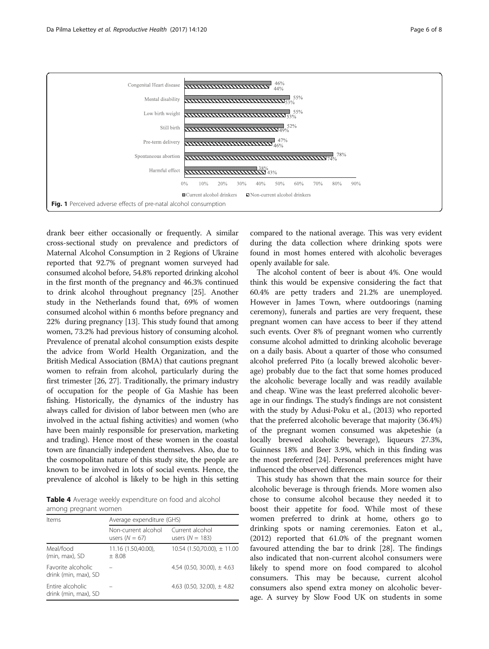<span id="page-5-0"></span>

drank beer either occasionally or frequently. A similar cross-sectional study on prevalence and predictors of Maternal Alcohol Consumption in 2 Regions of Ukraine reported that 92.7% of pregnant women surveyed had consumed alcohol before, 54.8% reported drinking alcohol in the first month of the pregnancy and 46.3% continued to drink alcohol throughout pregnancy [\[25\]](#page-7-0). Another study in the Netherlands found that, 69% of women consumed alcohol within 6 months before pregnancy and 22% during pregnancy [\[13](#page-7-0)]. This study found that among women, 73.2% had previous history of consuming alcohol. Prevalence of prenatal alcohol consumption exists despite the advice from World Health Organization, and the British Medical Association (BMA) that cautions pregnant women to refrain from alcohol, particularly during the first trimester [[26, 27](#page-7-0)]. Traditionally, the primary industry of occupation for the people of Ga Mashie has been fishing. Historically, the dynamics of the industry has always called for division of labor between men (who are involved in the actual fishing activities) and women (who have been mainly responsible for preservation, marketing and trading). Hence most of these women in the coastal town are financially independent themselves. Also, due to the cosmopolitan nature of this study site, the people are known to be involved in lots of social events. Hence, the prevalence of alcohol is likely to be high in this setting

Table 4 Average weekly expenditure on food and alcohol among pregnant women

| Items                                      | Average expenditure (GHS)               |                                      |  |
|--------------------------------------------|-----------------------------------------|--------------------------------------|--|
|                                            | Non-current alcohol<br>users $(N = 67)$ | Current alcohol<br>users $(N = 183)$ |  |
| Meal/food<br>(min, max), SD                | 11.16 (1.50,40.00),<br>± 8.08           | $10.54$ (1.50,70.00), $\pm$ 11.00    |  |
| Favorite alcoholic<br>drink (min, max), SD |                                         | 4.54 (0.50, 30.00), $\pm$ 4.63       |  |
| Entire alcoholic<br>drink (min, max), SD   |                                         | 4.63 (0.50, 32.00), $\pm$ 4.82       |  |

compared to the national average. This was very evident during the data collection where drinking spots were found in most homes entered with alcoholic beverages openly available for sale.

The alcohol content of beer is about 4%. One would think this would be expensive considering the fact that 60.4% are petty traders and 21.2% are unemployed. However in James Town, where outdoorings (naming ceremony), funerals and parties are very frequent, these pregnant women can have access to beer if they attend such events. Over 8% of pregnant women who currently consume alcohol admitted to drinking alcoholic beverage on a daily basis. About a quarter of those who consumed alcohol preferred Pito (a locally brewed alcoholic beverage) probably due to the fact that some homes produced the alcoholic beverage locally and was readily available and cheap. Wine was the least preferred alcoholic beverage in our findings. The study's findings are not consistent with the study by Adusi-Poku et al., (2013) who reported that the preferred alcoholic beverage that majority (36.4%) of the pregnant women consumed was akpeteshie (a locally brewed alcoholic beverage), liqueurs 27.3%, Guinness 18% and Beer 3.9%, which in this finding was the most preferred [[24](#page-7-0)]. Personal preferences might have influenced the observed differences.

This study has shown that the main source for their alcoholic beverage is through friends. More women also chose to consume alcohol because they needed it to boost their appetite for food. While most of these women preferred to drink at home, others go to drinking spots or naming ceremonies. Eaton et al., (2012) reported that 61.0% of the pregnant women favoured attending the bar to drink [[28](#page-7-0)]. The findings also indicated that non-current alcohol consumers were likely to spend more on food compared to alcohol consumers. This may be because, current alcohol consumers also spend extra money on alcoholic beverage. A survey by Slow Food UK on students in some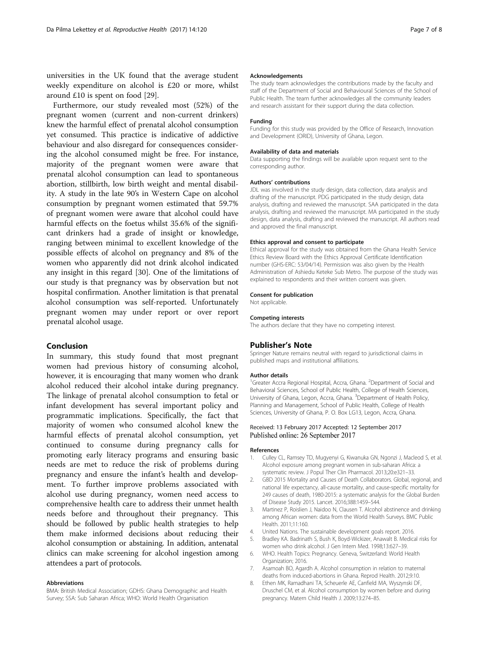<span id="page-6-0"></span>universities in the UK found that the average student weekly expenditure on alcohol is £20 or more, whilst around £10 is spent on food [[29](#page-7-0)].

Furthermore, our study revealed most (52%) of the pregnant women (current and non-current drinkers) knew the harmful effect of prenatal alcohol consumption yet consumed. This practice is indicative of addictive behaviour and also disregard for consequences considering the alcohol consumed might be free. For instance, majority of the pregnant women were aware that prenatal alcohol consumption can lead to spontaneous abortion, stillbirth, low birth weight and mental disability. A study in the late 90's in Western Cape on alcohol consumption by pregnant women estimated that 59.7% of pregnant women were aware that alcohol could have harmful effects on the foetus whilst 35.6% of the significant drinkers had a grade of insight or knowledge, ranging between minimal to excellent knowledge of the possible effects of alcohol on pregnancy and 8% of the women who apparently did not drink alcohol indicated any insight in this regard [\[30\]](#page-7-0). One of the limitations of our study is that pregnancy was by observation but not hospital confirmation. Another limitation is that prenatal alcohol consumption was self-reported. Unfortunately pregnant women may under report or over report prenatal alcohol usage.

## Conclusion

In summary, this study found that most pregnant women had previous history of consuming alcohol, however, it is encouraging that many women who drank alcohol reduced their alcohol intake during pregnancy. The linkage of prenatal alcohol consumption to fetal or infant development has several important policy and programmatic implications. Specifically, the fact that majority of women who consumed alcohol knew the harmful effects of prenatal alcohol consumption, yet continued to consume during pregnancy calls for promoting early literacy programs and ensuring basic needs are met to reduce the risk of problems during pregnancy and ensure the infant's health and development. To further improve problems associated with alcohol use during pregnancy, women need access to comprehensive health care to address their unmet health needs before and throughout their pregnancy. This should be followed by public health strategies to help them make informed decisions about reducing their alcohol consumption or abstaining. In addition, antenatal clinics can make screening for alcohol ingestion among attendees a part of protocols.

## Abbreviations

BMA: British Medical Association; GDHS: Ghana Demographic and Health Survey; SSA: Sub Saharan Africa; WHO: World Health Organisation

#### Acknowledgements

The study team acknowledges the contributions made by the faculty and staff of the Department of Social and Behavioural Sciences of the School of Public Health. The team further acknowledges all the community leaders and research assistant for their support during the data collection.

#### Funding

Funding for this study was provided by the Office of Research, Innovation and Development (ORID), University of Ghana, Legon.

### Availability of data and materials

Data supporting the findings will be available upon request sent to the corresponding author.

#### Authors' contributions

JDL was involved in the study design, data collection, data analysis and drafting of the manuscript. PDG participated in the study design, data analysis, drafting and reviewed the manuscript. SAA participated in the data analysis, drafting and reviewed the manuscript. MA participated in the study design, data analysis, drafting and reviewed the manuscript. All authors read and approved the final manuscript.

#### Ethics approval and consent to participate

Ethical approval for the study was obtained from the Ghana Health Service Ethics Review Board with the Ethics Approval Certificate Identification number (GHS-ERC: 53/04/14). Permission was also given by the Health Administration of Ashiedu Keteke Sub Metro. The purpose of the study was explained to respondents and their written consent was given.

#### Consent for publication

Not applicable.

#### Competing interests

The authors declare that they have no competing interest.

### Publisher's Note

Springer Nature remains neutral with regard to jurisdictional claims in published maps and institutional affiliations.

#### Author details

<sup>1</sup>Greater Accra Regional Hospital, Accra, Ghana. <sup>2</sup>Department of Social and Behavioral Sciences, School of Public Health, College of Health Sciences, University of Ghana, Legon, Accra, Ghana. <sup>3</sup>Department of Health Policy, Planning and Management, School of Public Health, College of Health Sciences, University of Ghana, P. O. Box LG13, Legon, Accra, Ghana.

## Received: 13 February 2017 Accepted: 12 September 2017 Published online: 26 September 2017

### References

- 1. Culley CL, Ramsey TD, Mugyenyi G, Kiwanuka GN, Ngonzi J, Macleod S, et al. Alcohol exposure among pregnant women in sub-saharan Africa: a systematic review. J Popul Ther Clin Pharmacol. 2013;20:e321–33.
- 2. GBD 2015 Mortality and Causes of Death Collaborators. Global, regional, and national life expectancy, all-cause mortality, and cause-specific mortality for 249 causes of death, 1980-2015: a systematic analysis for the Global Burden of Disease Study 2015. Lancet. 2016;388:1459–544.
- 3. Martinez P, Roislien J, Naidoo N, Clausen T. Alcohol abstinence and drinking among African women: data from the World Health Surveys. BMC Public Health. 2011:11:160.
- 4. United Nations. The sustainable development goals report. 2016.
- 5. Bradley KA. Badrinath S, Bush K, Boyd-Wickizer, Anawalt B. Medical risks for women who drink alcohol. J Gen Intern Med. 1998;13:627–39.
- 6. WHO. Health Topics: Pregnancy. Geneva, Switzerland: World Health Organization; 2016.
- 7. Asamoah BO, Agardh A. Alcohol consumption in relation to maternal deaths from induced-abortions in Ghana. Reprod Health. 2012;9:10.
- 8. Ethen MK, Ramadhani TA, Scheuerle AE, Canfield MA, Wyszynski DF, Druschel CM, et al. Alcohol consumption by women before and during pregnancy. Matern Child Health J. 2009;13:274–85.